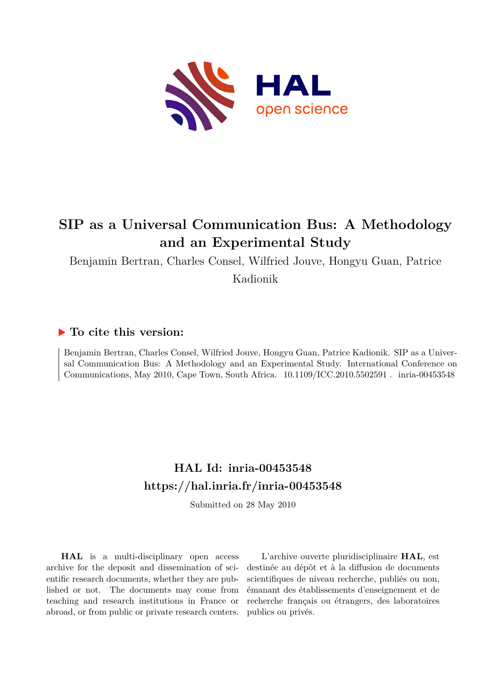

## **SIP as a Universal Communication Bus: A Methodology and an Experimental Study**

Benjamin Bertran, Charles Consel, Wilfried Jouve, Hongyu Guan, Patrice

Kadionik

### **To cite this version:**

Benjamin Bertran, Charles Consel, Wilfried Jouve, Hongyu Guan, Patrice Kadionik. SIP as a Universal Communication Bus: A Methodology and an Experimental Study. International Conference on Communications, May 2010, Cape Town, South Africa.  $10.1109/ICC.2010.5502591$ . inria-00453548

## **HAL Id: inria-00453548 <https://hal.inria.fr/inria-00453548>**

Submitted on 28 May 2010

**HAL** is a multi-disciplinary open access archive for the deposit and dissemination of scientific research documents, whether they are published or not. The documents may come from teaching and research institutions in France or abroad, or from public or private research centers.

L'archive ouverte pluridisciplinaire **HAL**, est destinée au dépôt et à la diffusion de documents scientifiques de niveau recherche, publiés ou non, émanant des établissements d'enseignement et de recherche français ou étrangers, des laboratoires publics ou privés.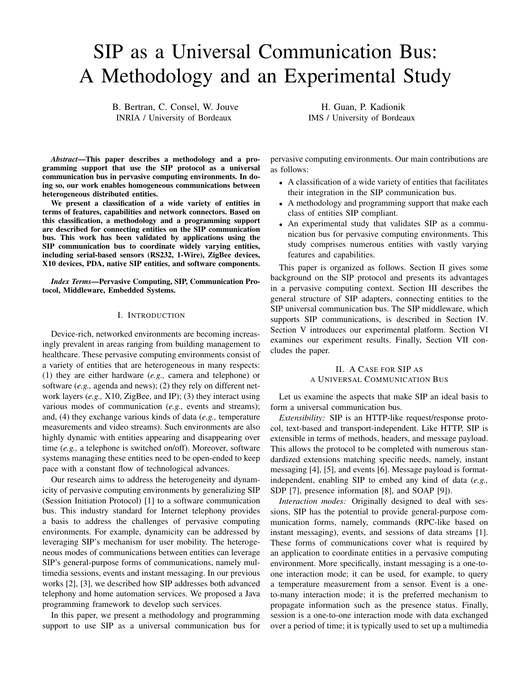# SIP as a Universal Communication Bus: A Methodology and an Experimental Study

B. Bertran, C. Consel, W. Jouve INRIA / University of Bordeaux

*Abstract*—This paper describes a methodology and a programming support that use the SIP protocol as a universal communication bus in pervasive computing environments. In doing so, our work enables homogeneous communications between heterogeneous distributed entities.

We present a classification of a wide variety of entities in terms of features, capabilities and network connectors. Based on this classification, a methodology and a programming support are described for connecting entities on the SIP communication bus. This work has been validated by applications using the SIP communication bus to coordinate widely varying entities, including serial-based sensors (RS232, 1-Wire), ZigBee devices, X10 devices, PDA, native SIP entities, and software components.

*Index Terms*—Pervasive Computing, SIP, Communication Protocol, Middleware, Embedded Systems.

#### I. INTRODUCTION

Device-rich, networked environments are becoming increasingly prevalent in areas ranging from building management to healthcare. These pervasive computing environments consist of a variety of entities that are heterogeneous in many respects: (1) they are either hardware (*e.g.,* camera and telephone) or software (*e.g.,* agenda and news); (2) they rely on different network layers (*e.g.,* X10, ZigBee, and IP); (3) they interact using various modes of communication (*e.g.,* events and streams); and, (4) they exchange various kinds of data (*e.g.,* temperature measurements and video streams). Such environments are also highly dynamic with entities appearing and disappearing over time (*e.g.,* a telephone is switched on/off). Moreover, software systems managing these entities need to be open-ended to keep pace with a constant flow of technological advances.

Our research aims to address the heterogeneity and dynamicity of pervasive computing environments by generalizing SIP (Session Initiation Protocol) [1] to a software communication bus. This industry standard for Internet telephony provides a basis to address the challenges of pervasive computing environments. For example, dynamicity can be addressed by leveraging SIP's mechanism for user mobility. The heterogeneous modes of communications between entities can leverage SIP's general-purpose forms of communications, namely multimedia sessions, events and instant messaging. In our previous works [2], [3], we described how SIP addresses both advanced telephony and home automation services. We proposed a Java programming framework to develop such services.

In this paper, we present a methodology and programming support to use SIP as a universal communication bus for

H. Guan, P. Kadionik IMS / University of Bordeaux

pervasive computing environments. Our main contributions are as follows:

- A classification of a wide variety of entities that facilitates their integration in the SIP communication bus.
- A methodology and programming support that make each class of entities SIP compliant.
- An experimental study that validates SIP as a communication bus for pervasive computing environments. This study comprises numerous entities with vastly varying features and capabilities.

This paper is organized as follows. Section II gives some background on the SIP protocol and presents its advantages in a pervasive computing context. Section III describes the general structure of SIP adapters, connecting entities to the SIP universal communication bus. The SIP middleware, which supports SIP communications, is described in Section IV. Section V introduces our experimental platform. Section VI examines our experiment results. Finally, Section VII concludes the paper.

#### II. A CASE FOR SIP AS A UNIVERSAL COMMUNICATION BUS

Let us examine the aspects that make SIP an ideal basis to form a universal communication bus.

*Extensibility:* SIP is an HTTP-like request/response protocol, text-based and transport-independent. Like HTTP, SIP is extensible in terms of methods, headers, and message payload. This allows the protocol to be completed with numerous standardized extensions matching specific needs, namely, instant messaging [4], [5], and events [6]. Message payload is formatindependent, enabling SIP to embed any kind of data (*e.g.,* SDP [7], presence information [8], and SOAP [9]).

*Interaction modes:* Originally designed to deal with sessions, SIP has the potential to provide general-purpose communication forms, namely, commands (RPC-like based on instant messaging), events, and sessions of data streams [1]. These forms of communications cover what is required by an application to coordinate entities in a pervasive computing environment. More specifically, instant messaging is a one-toone interaction mode; it can be used, for example, to query a temperature measurement from a sensor. Event is a oneto-many interaction mode; it is the preferred mechanism to propagate information such as the presence status. Finally, session is a one-to-one interaction mode with data exchanged over a period of time; it is typically used to set up a multimedia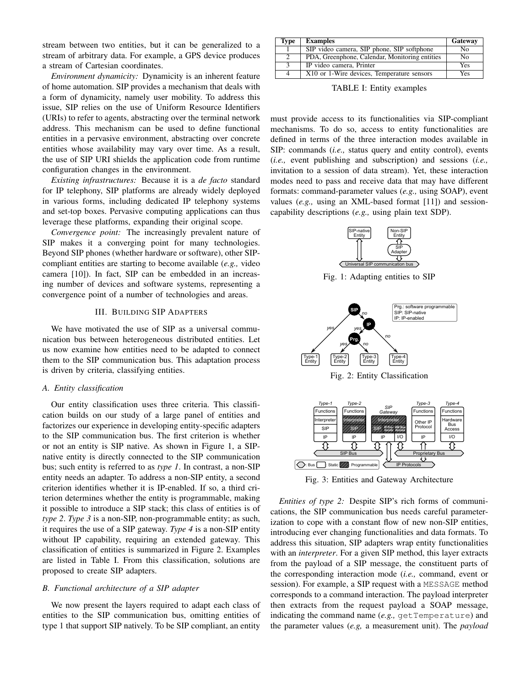stream between two entities, but it can be generalized to a stream of arbitrary data. For example, a GPS device produces a stream of Cartesian coordinates.

*Environment dynamicity:* Dynamicity is an inherent feature of home automation. SIP provides a mechanism that deals with a form of dynamicity, namely user mobility. To address this issue, SIP relies on the use of Uniform Resource Identifiers (URIs) to refer to agents, abstracting over the terminal network address. This mechanism can be used to define functional entities in a pervasive environment, abstracting over concrete entities whose availability may vary over time. As a result, the use of SIP URI shields the application code from runtime configuration changes in the environment.

*Existing infrastructures:* Because it is a *de facto* standard for IP telephony, SIP platforms are already widely deployed in various forms, including dedicated IP telephony systems and set-top boxes. Pervasive computing applications can thus leverage these platforms, expanding their original scope.

*Convergence point:* The increasingly prevalent nature of SIP makes it a converging point for many technologies. Beyond SIP phones (whether hardware or software), other SIPcompliant entities are starting to become available (*e.g.,* video camera [10]). In fact, SIP can be embedded in an increasing number of devices and software systems, representing a convergence point of a number of technologies and areas.

#### III. BUILDING SIP ADAPTERS

We have motivated the use of SIP as a universal communication bus between heterogeneous distributed entities. Let us now examine how entities need to be adapted to connect them to the SIP communication bus. This adaptation process is driven by criteria, classifying entities.

#### *A. Entity classification*

Our entity classification uses three criteria. This classification builds on our study of a large panel of entities and factorizes our experience in developing entity-specific adapters to the SIP communication bus. The first criterion is whether or not an entity is SIP native. As shown in Figure 1, a SIPnative entity is directly connected to the SIP communication bus; such entity is referred to as *type 1*. In contrast, a non-SIP entity needs an adapter. To address a non-SIP entity, a second criterion identifies whether it is IP-enabled. If so, a third criterion determines whether the entity is programmable, making it possible to introduce a SIP stack; this class of entities is of *type 2*. *Type 3* is a non-SIP, non-programmable entity; as such, it requires the use of a SIP gateway. *Type 4* is a non-SIP entity without IP capability, requiring an extended gateway. This classification of entities is summarized in Figure 2. Examples are listed in Table I. From this classification, solutions are proposed to create SIP adapters.

#### *B. Functional architecture of a SIP adapter*

We now present the layers required to adapt each class of entities to the SIP communication bus, omitting entities of type 1 that support SIP natively. To be SIP compliant, an entity

| Type | <b>Examples</b>                                | Gateway        |
|------|------------------------------------------------|----------------|
|      | SIP video camera, SIP phone, SIP softphone     | No             |
|      | PDA, Greenphone, Calendar, Monitoring entities | N <sub>0</sub> |
|      | IP video camera, Printer                       | Yes            |
|      | X10 or 1-Wire devices, Temperature sensors     | Yes            |

TABLE I: Entity examples

must provide access to its functionalities via SIP-compliant mechanisms. To do so, access to entity functionalities are defined in terms of the three interaction modes available in SIP: commands (*i.e.,* status query and entity control), events (*i.e.,* event publishing and subscription) and sessions (*i.e.,* invitation to a session of data stream). Yet, these interaction modes need to pass and receive data that may have different formats: command-parameter values (*e.g.,* using SOAP), event values (*e.g.,* using an XML-based format [11]) and sessioncapability descriptions (*e.g.,* using plain text SDP).



Fig. 1: Adapting entities to SIP





Fig. 3: Entities and Gateway Architecture

*Entities of type 2:* Despite SIP's rich forms of communications, the SIP communication bus needs careful parameterization to cope with a constant flow of new non-SIP entities, introducing ever changing functionalities and data formats. To address this situation, SIP adapters wrap entity functionalities with an *interpreter*. For a given SIP method, this layer extracts from the payload of a SIP message, the constituent parts of the corresponding interaction mode (*i.e.,* command, event or session). For example, a SIP request with a MESSAGE method corresponds to a command interaction. The payload interpreter then extracts from the request payload a SOAP message, indicating the command name (*e.g.,* getTemperature) and the parameter values (*e.g,* a measurement unit). The *payload*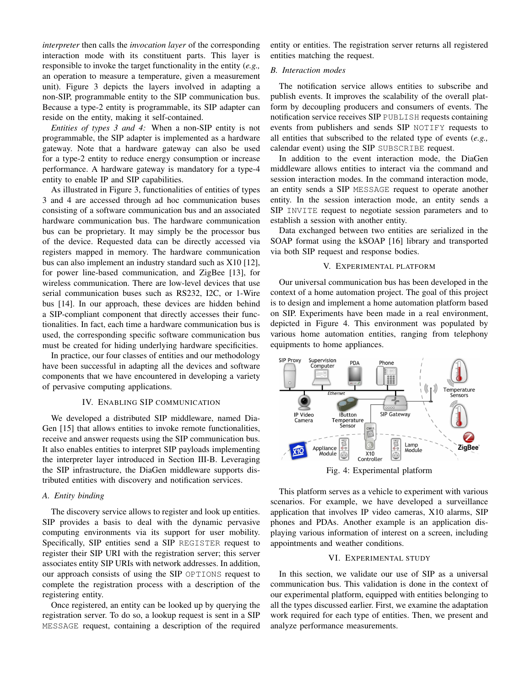*interpreter* then calls the *invocation layer* of the corresponding interaction mode with its constituent parts. This layer is responsible to invoke the target functionality in the entity (*e.g.,* an operation to measure a temperature, given a measurement unit). Figure 3 depicts the layers involved in adapting a non-SIP, programmable entity to the SIP communication bus. Because a type-2 entity is programmable, its SIP adapter can reside on the entity, making it self-contained.

*Entities of types 3 and 4:* When a non-SIP entity is not programmable, the SIP adapter is implemented as a hardware gateway. Note that a hardware gateway can also be used for a type-2 entity to reduce energy consumption or increase performance. A hardware gateway is mandatory for a type-4 entity to enable IP and SIP capabilities.

As illustrated in Figure 3, functionalities of entities of types 3 and 4 are accessed through ad hoc communication buses consisting of a software communication bus and an associated hardware communication bus. The hardware communication bus can be proprietary. It may simply be the processor bus of the device. Requested data can be directly accessed via registers mapped in memory. The hardware communication bus can also implement an industry standard such as X10 [12], for power line-based communication, and ZigBee [13], for wireless communication. There are low-level devices that use serial communication buses such as RS232, I2C, or 1-Wire bus [14]. In our approach, these devices are hidden behind a SIP-compliant component that directly accesses their functionalities. In fact, each time a hardware communication bus is used, the corresponding specific software communication bus must be created for hiding underlying hardware specificities.

In practice, our four classes of entities and our methodology have been successful in adapting all the devices and software components that we have encountered in developing a variety of pervasive computing applications.

#### IV. ENABLING SIP COMMUNICATION

We developed a distributed SIP middleware, named Dia-Gen [15] that allows entities to invoke remote functionalities, receive and answer requests using the SIP communication bus. It also enables entities to interpret SIP payloads implementing the interpreter layer introduced in Section III-B. Leveraging the SIP infrastructure, the DiaGen middleware supports distributed entities with discovery and notification services.

#### *A. Entity binding*

The discovery service allows to register and look up entities. SIP provides a basis to deal with the dynamic pervasive computing environments via its support for user mobility. Specifically, SIP entities send a SIP REGISTER request to register their SIP URI with the registration server; this server associates entity SIP URIs with network addresses. In addition, our approach consists of using the SIP OPTIONS request to complete the registration process with a description of the registering entity.

Once registered, an entity can be looked up by querying the registration server. To do so, a lookup request is sent in a SIP MESSAGE request, containing a description of the required entity or entities. The registration server returns all registered entities matching the request.

#### *B. Interaction modes*

The notification service allows entities to subscribe and publish events. It improves the scalability of the overall platform by decoupling producers and consumers of events. The notification service receives SIP PUBLISH requests containing events from publishers and sends SIP NOTIFY requests to all entities that subscribed to the related type of events (*e.g.,* calendar event) using the SIP SUBSCRIBE request.

In addition to the event interaction mode, the DiaGen middleware allows entities to interact via the command and session interaction modes. In the command interaction mode, an entity sends a SIP MESSAGE request to operate another entity. In the session interaction mode, an entity sends a SIP INVITE request to negotiate session parameters and to establish a session with another entity.

Data exchanged between two entities are serialized in the SOAP format using the kSOAP [16] library and transported via both SIP request and response bodies.

#### V. EXPERIMENTAL PLATFORM

Our universal communication bus has been developed in the context of a home automation project. The goal of this project is to design and implement a home automation platform based on SIP. Experiments have been made in a real environment, depicted in Figure 4. This environment was populated by various home automation entities, ranging from telephony equipments to home appliances.



Fig. 4: Experimental platform

This platform serves as a vehicle to experiment with various scenarios. For example, we have developed a surveillance application that involves IP video cameras, X10 alarms, SIP phones and PDAs. Another example is an application displaying various information of interest on a screen, including appointments and weather conditions.

#### VI. EXPERIMENTAL STUDY

In this section, we validate our use of SIP as a universal communication bus. This validation is done in the context of our experimental platform, equipped with entities belonging to all the types discussed earlier. First, we examine the adaptation work required for each type of entities. Then, we present and analyze performance measurements.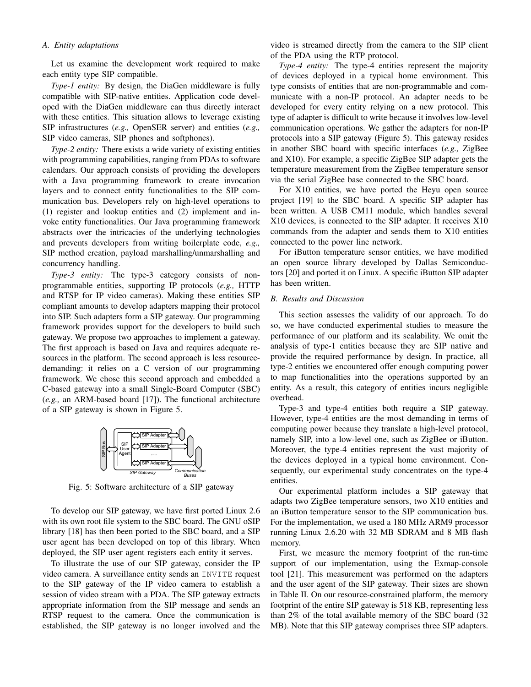#### *A. Entity adaptations*

Let us examine the development work required to make each entity type SIP compatible.

*Type-1 entity:* By design, the DiaGen middleware is fully compatible with SIP-native entities. Application code developed with the DiaGen middleware can thus directly interact with these entities. This situation allows to leverage existing SIP infrastructures (*e.g.,* OpenSER server) and entities (*e.g.,* SIP video cameras, SIP phones and softphones).

*Type-2 entity:* There exists a wide variety of existing entities with programming capabilities, ranging from PDAs to software calendars. Our approach consists of providing the developers with a Java programming framework to create invocation layers and to connect entity functionalities to the SIP communication bus. Developers rely on high-level operations to (1) register and lookup entities and (2) implement and invoke entity functionalities. Our Java programming framework abstracts over the intricacies of the underlying technologies and prevents developers from writing boilerplate code, *e.g.,* SIP method creation, payload marshalling/unmarshalling and concurrency handling.

*Type-3 entity:* The type-3 category consists of nonprogrammable entities, supporting IP protocols (*e.g.,* HTTP and RTSP for IP video cameras). Making these entities SIP compliant amounts to develop adapters mapping their protocol into SIP. Such adapters form a SIP gateway. Our programming framework provides support for the developers to build such gateway. We propose two approaches to implement a gateway. The first approach is based on Java and requires adequate resources in the platform. The second approach is less resourcedemanding: it relies on a C version of our programming framework. We chose this second approach and embedded a C-based gateway into a small Single-Board Computer (SBC) (*e.g.,* an ARM-based board [17]). The functional architecture of a SIP gateway is shown in Figure 5.



Fig. 5: Software architecture of a SIP gateway

To develop our SIP gateway, we have first ported Linux 2.6 with its own root file system to the SBC board. The GNU oSIP library [18] has then been ported to the SBC board, and a SIP user agent has been developed on top of this library. When deployed, the SIP user agent registers each entity it serves.

To illustrate the use of our SIP gateway, consider the IP video camera. A surveillance entity sends an INVITE request to the SIP gateway of the IP video camera to establish a session of video stream with a PDA. The SIP gateway extracts appropriate information from the SIP message and sends an RTSP request to the camera. Once the communication is established, the SIP gateway is no longer involved and the video is streamed directly from the camera to the SIP client of the PDA using the RTP protocol.

*Type-4 entity:* The type-4 entities represent the majority of devices deployed in a typical home environment. This type consists of entities that are non-programmable and communicate with a non-IP protocol. An adapter needs to be developed for every entity relying on a new protocol. This type of adapter is difficult to write because it involves low-level communication operations. We gather the adapters for non-IP protocols into a SIP gateway (Figure 5). This gateway resides in another SBC board with specific interfaces (*e.g.,* ZigBee and X10). For example, a specific ZigBee SIP adapter gets the temperature measurement from the ZigBee temperature sensor via the serial ZigBee base connected to the SBC board.

For X10 entities, we have ported the Heyu open source project [19] to the SBC board. A specific SIP adapter has been written. A USB CM11 module, which handles several X10 devices, is connected to the SIP adapter. It receives X10 commands from the adapter and sends them to X10 entities connected to the power line network.

For iButton temperature sensor entities, we have modified an open source library developed by Dallas Semiconductors [20] and ported it on Linux. A specific iButton SIP adapter has been written.

#### *B. Results and Discussion*

This section assesses the validity of our approach. To do so, we have conducted experimental studies to measure the performance of our platform and its scalability. We omit the analysis of type-1 entities because they are SIP native and provide the required performance by design. In practice, all type-2 entities we encountered offer enough computing power to map functionalities into the operations supported by an entity. As a result, this category of entities incurs negligible overhead.

Type-3 and type-4 entities both require a SIP gateway. However, type-4 entities are the most demanding in terms of computing power because they translate a high-level protocol, namely SIP, into a low-level one, such as ZigBee or iButton. Moreover, the type-4 entities represent the vast majority of the devices deployed in a typical home environment. Consequently, our experimental study concentrates on the type-4 entities.

Our experimental platform includes a SIP gateway that adapts two ZigBee temperature sensors, two X10 entities and an iButton temperature sensor to the SIP communication bus. For the implementation, we used a 180 MHz ARM9 processor running Linux 2.6.20 with 32 MB SDRAM and 8 MB flash memory.

First, we measure the memory footprint of the run-time support of our implementation, using the Exmap-console tool [21]. This measurement was performed on the adapters and the user agent of the SIP gateway. Their sizes are shown in Table II. On our resource-constrained platform, the memory footprint of the entire SIP gateway is 518 KB, representing less than 2% of the total available memory of the SBC board (32 MB). Note that this SIP gateway comprises three SIP adapters.